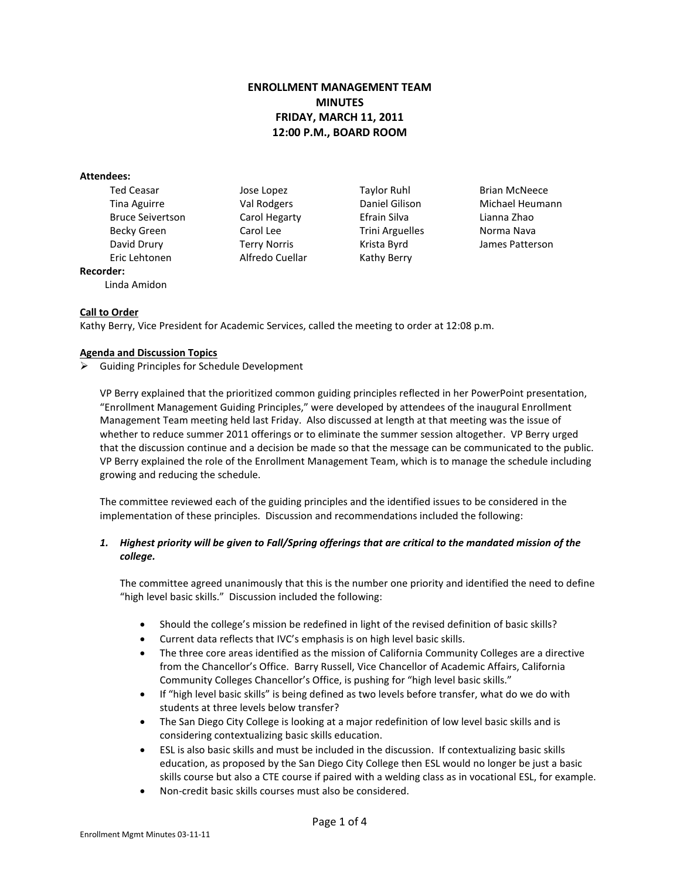# **ENROLLMENT MANAGEMENT TEAM MINUTES FRIDAY, MARCH 11, 2011 12:00 P.M., BOARD ROOM**

#### **Attendees:**

Ted Ceasar **Taylor Ruhl Brian McNeece Jose Lopez Taylor Ruhl** Brian McNeece Bruce Seivertson Carol Hegarty Efrain Silva Lianna Zhao Becky Green Carol Lee Trini Arguelles Norma Nava Eric Lehtonen Alfredo Cuellar Kathy Berry **Recorder:**

Linda Amidon

Tina Aguirre Val Rodgers Daniel Gilison Michael Heumann David Drury Terry Norris Krista Byrd James Patterson

### **Call to Order**

Kathy Berry, Vice President for Academic Services, called the meeting to order at 12:08 p.m.

#### **Agenda and Discussion Topics**

Guiding Principles for Schedule Development

VP Berry explained that the prioritized common guiding principles reflected in her PowerPoint presentation, "Enrollment Management Guiding Principles," were developed by attendees of the inaugural Enrollment Management Team meeting held last Friday. Also discussed at length at that meeting was the issue of whether to reduce summer 2011 offerings or to eliminate the summer session altogether. VP Berry urged that the discussion continue and a decision be made so that the message can be communicated to the public. VP Berry explained the role of the Enrollment Management Team, which is to manage the schedule including growing and reducing the schedule.

The committee reviewed each of the guiding principles and the identified issues to be considered in the implementation of these principles. Discussion and recommendations included the following:

## *1. Highest priority will be given to Fall/Spring offerings that are critical to the mandated mission of the college.*

The committee agreed unanimously that this is the number one priority and identified the need to define "high level basic skills." Discussion included the following:

- Should the college's mission be redefined in light of the revised definition of basic skills?
- Current data reflects that IVC's emphasis is on high level basic skills.
- The three core areas identified as the mission of California Community Colleges are a directive from the Chancellor's Office. Barry Russell, Vice Chancellor of Academic Affairs, California Community Colleges Chancellor's Office, is pushing for "high level basic skills."
- If "high level basic skills" is being defined as two levels before transfer, what do we do with students at three levels below transfer?
- The San Diego City College is looking at a major redefinition of low level basic skills and is considering contextualizing basic skills education.
- ESL is also basic skills and must be included in the discussion. If contextualizing basic skills education, as proposed by the San Diego City College then ESL would no longer be just a basic skills course but also a CTE course if paired with a welding class as in vocational ESL, for example.
- Non-credit basic skills courses must also be considered.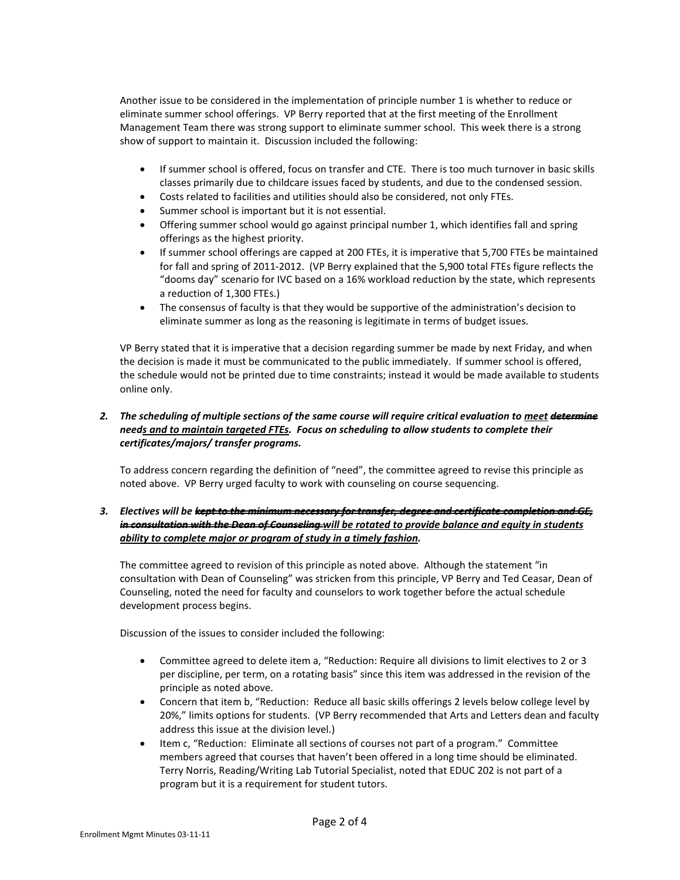Another issue to be considered in the implementation of principle number 1 is whether to reduce or eliminate summer school offerings. VP Berry reported that at the first meeting of the Enrollment Management Team there was strong support to eliminate summer school. This week there is a strong show of support to maintain it. Discussion included the following:

- If summer school is offered, focus on transfer and CTE. There is too much turnover in basic skills classes primarily due to childcare issues faced by students, and due to the condensed session.
- Costs related to facilities and utilities should also be considered, not only FTEs.
- Summer school is important but it is not essential.
- Offering summer school would go against principal number 1, which identifies fall and spring offerings as the highest priority.
- If summer school offerings are capped at 200 FTEs, it is imperative that 5,700 FTEs be maintained for fall and spring of 2011-2012. (VP Berry explained that the 5,900 total FTEs figure reflects the "dooms day" scenario for IVC based on a 16% workload reduction by the state, which represents a reduction of 1,300 FTEs.)
- The consensus of faculty is that they would be supportive of the administration's decision to eliminate summer as long as the reasoning is legitimate in terms of budget issues.

VP Berry stated that it is imperative that a decision regarding summer be made by next Friday, and when the decision is made it must be communicated to the public immediately. If summer school is offered, the schedule would not be printed due to time constraints; instead it would be made available to students online only.

### *2. The scheduling of multiple sections of the same course will require critical evaluation to meet determine needs and to maintain targeted FTEs. Focus on scheduling to allow students to complete their certificates/majors/ transfer programs.*

To address concern regarding the definition of "need", the committee agreed to revise this principle as noted above. VP Berry urged faculty to work with counseling on course sequencing.

## *3. Electives will be kept to the minimum necessary for transfer, degree and certificate completion and GE, in consultation with the Dean of Counseling will be rotated to provide balance and equity in students ability to complete major or program of study in a timely fashion.*

The committee agreed to revision of this principle as noted above. Although the statement "in consultation with Dean of Counseling" was stricken from this principle, VP Berry and Ted Ceasar, Dean of Counseling, noted the need for faculty and counselors to work together before the actual schedule development process begins.

Discussion of the issues to consider included the following:

- Committee agreed to delete item a, "Reduction: Require all divisions to limit electives to 2 or 3 per discipline, per term, on a rotating basis" since this item was addressed in the revision of the principle as noted above.
- Concern that item b, "Reduction: Reduce all basic skills offerings 2 levels below college level by 20%," limits options for students. (VP Berry recommended that Arts and Letters dean and faculty address this issue at the division level.)
- Item c, "Reduction: Eliminate all sections of courses not part of a program." Committee members agreed that courses that haven't been offered in a long time should be eliminated. Terry Norris, Reading/Writing Lab Tutorial Specialist, noted that EDUC 202 is not part of a program but it is a requirement for student tutors.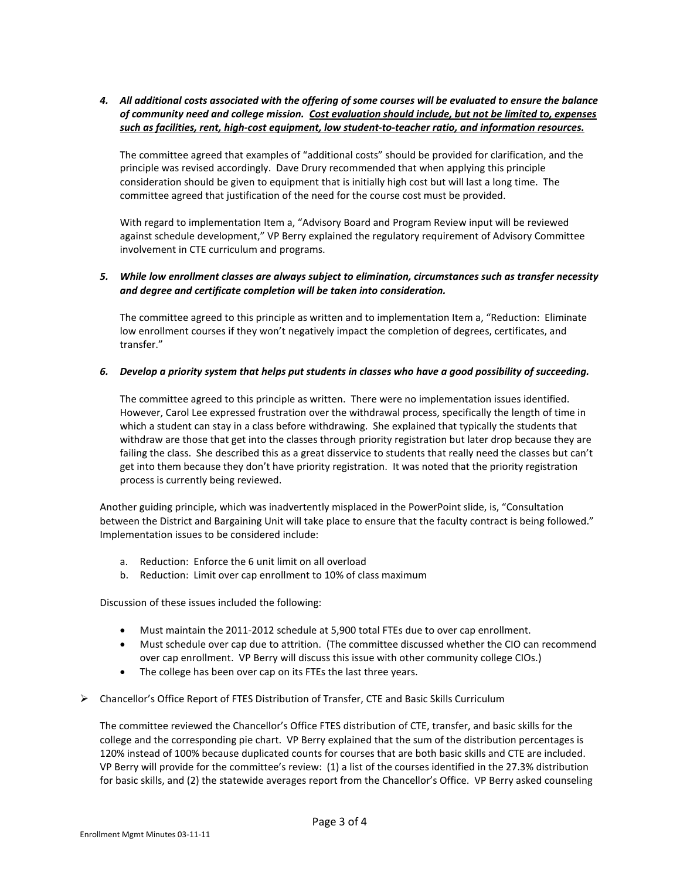*4. All additional costs associated with the offering of some courses will be evaluated to ensure the balance of community need and college mission. Cost evaluation should include, but not be limited to, expenses such as facilities, rent, high-cost equipment, low student-to-teacher ratio, and information resources.*

The committee agreed that examples of "additional costs" should be provided for clarification, and the principle was revised accordingly. Dave Drury recommended that when applying this principle consideration should be given to equipment that is initially high cost but will last a long time. The committee agreed that justification of the need for the course cost must be provided.

With regard to implementation Item a, "Advisory Board and Program Review input will be reviewed against schedule development," VP Berry explained the regulatory requirement of Advisory Committee involvement in CTE curriculum and programs.

### *5. While low enrollment classes are always subject to elimination, circumstances such as transfer necessity and degree and certificate completion will be taken into consideration.*

The committee agreed to this principle as written and to implementation Item a, "Reduction: Eliminate low enrollment courses if they won't negatively impact the completion of degrees, certificates, and transfer."

### *6. Develop a priority system that helps put students in classes who have a good possibility of succeeding.*

The committee agreed to this principle as written. There were no implementation issues identified. However, Carol Lee expressed frustration over the withdrawal process, specifically the length of time in which a student can stay in a class before withdrawing. She explained that typically the students that withdraw are those that get into the classes through priority registration but later drop because they are failing the class. She described this as a great disservice to students that really need the classes but can't get into them because they don't have priority registration. It was noted that the priority registration process is currently being reviewed.

Another guiding principle, which was inadvertently misplaced in the PowerPoint slide, is, "Consultation between the District and Bargaining Unit will take place to ensure that the faculty contract is being followed." Implementation issues to be considered include:

- a. Reduction: Enforce the 6 unit limit on all overload
- b. Reduction: Limit over cap enrollment to 10% of class maximum

Discussion of these issues included the following:

- Must maintain the 2011-2012 schedule at 5,900 total FTEs due to over cap enrollment.
- Must schedule over cap due to attrition. (The committee discussed whether the CIO can recommend over cap enrollment. VP Berry will discuss this issue with other community college CIOs.)
- The college has been over cap on its FTEs the last three years.
- Chancellor's Office Report of FTES Distribution of Transfer, CTE and Basic Skills Curriculum

The committee reviewed the Chancellor's Office FTES distribution of CTE, transfer, and basic skills for the college and the corresponding pie chart. VP Berry explained that the sum of the distribution percentages is 120% instead of 100% because duplicated counts for courses that are both basic skills and CTE are included. VP Berry will provide for the committee's review: (1) a list of the courses identified in the 27.3% distribution for basic skills, and (2) the statewide averages report from the Chancellor's Office. VP Berry asked counseling